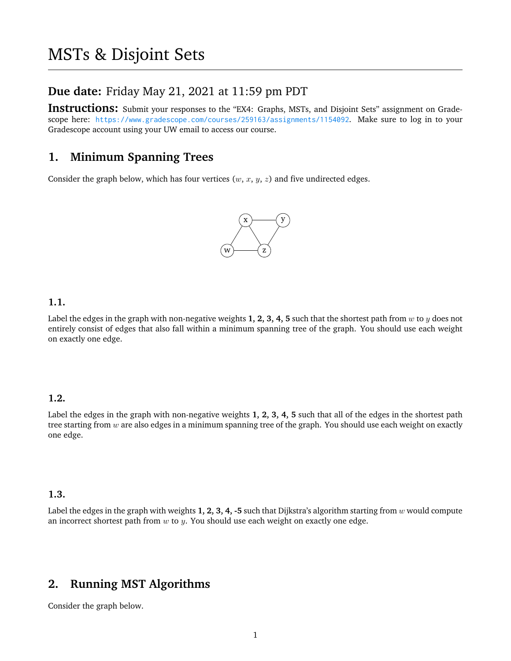## **Due date:** Friday May 21, 2021 at 11:59 pm PDT

Instructions: Submit your responses to the "EX4: Graphs, MSTs, and Disjoint Sets" assignment on Gradescope here: <https://www.gradescope.com/courses/259163/assignments/1154092>. Make sure to log in to your Gradescope account using your UW email to access our course.

# **1. Minimum Spanning Trees**

Consider the graph below, which has four vertices  $(w, x, y, z)$  and five undirected edges.



#### **1.1.**

Label the edges in the graph with non-negative weights 1, 2, 3, 4, 5 such that the shortest path from w to y does not entirely consist of edges that also fall within a minimum spanning tree of the graph. You should use each weight on exactly one edge.

#### **1.2.**

Label the edges in the graph with non-negative weights **1, 2, 3, 4, 5** such that all of the edges in the shortest path tree starting from  $w$  are also edges in a minimum spanning tree of the graph. You should use each weight on exactly one edge.

#### **1.3.**

Label the edges in the graph with weights **1, 2, 3, 4, -5** such that Dijkstra's algorithm starting from w would compute an incorrect shortest path from  $w$  to  $y$ . You should use each weight on exactly one edge.

# **2. Running MST Algorithms**

Consider the graph below.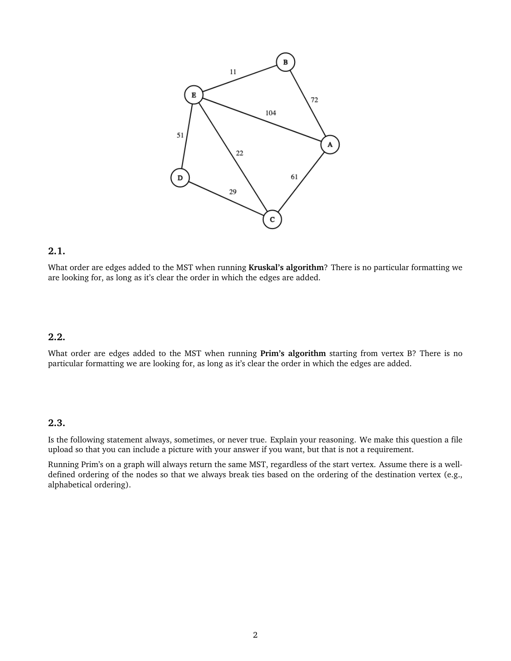

#### **2.1.**

What order are edges added to the MST when running **Kruskal's algorithm**? There is no particular formatting we are looking for, as long as it's clear the order in which the edges are added.

### **2.2.**

What order are edges added to the MST when running **Prim's algorithm** starting from vertex B? There is no particular formatting we are looking for, as long as it's clear the order in which the edges are added.

### **2.3.**

Is the following statement always, sometimes, or never true. Explain your reasoning. We make this question a file upload so that you can include a picture with your answer if you want, but that is not a requirement.

Running Prim's on a graph will always return the same MST, regardless of the start vertex. Assume there is a welldefined ordering of the nodes so that we always break ties based on the ordering of the destination vertex (e.g., alphabetical ordering).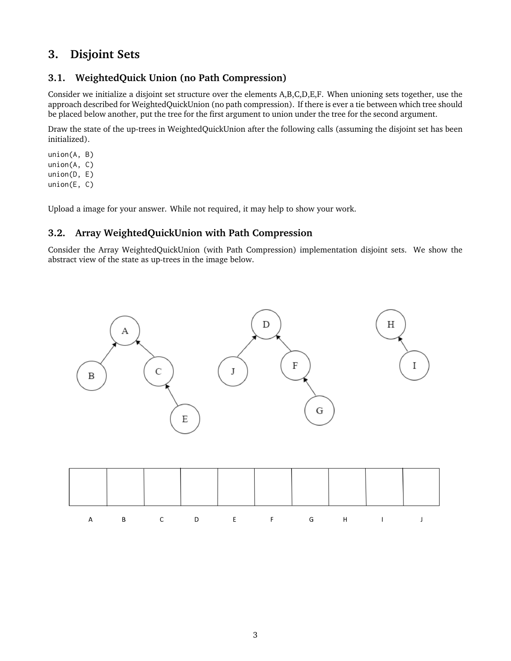# **3. Disjoint Sets**

### **3.1. WeightedQuick Union (no Path Compression)**

Consider we initialize a disjoint set structure over the elements A,B,C,D,E,F. When unioning sets together, use the approach described for WeightedQuickUnion (no path compression). If there is ever a tie between which tree should be placed below another, put the tree for the first argument to union under the tree for the second argument.

Draw the state of the up-trees in WeightedQuickUnion after the following calls (assuming the disjoint set has been initialized).

union(A, B) union(A, C) union(D, E) union(E, C)

Upload a image for your answer. While not required, it may help to show your work.

### **3.2. Array WeightedQuickUnion with Path Compression**

Consider the Array WeightedQuickUnion (with Path Compression) implementation disjoint sets. We show the abstract view of the state as up-trees in the image below.